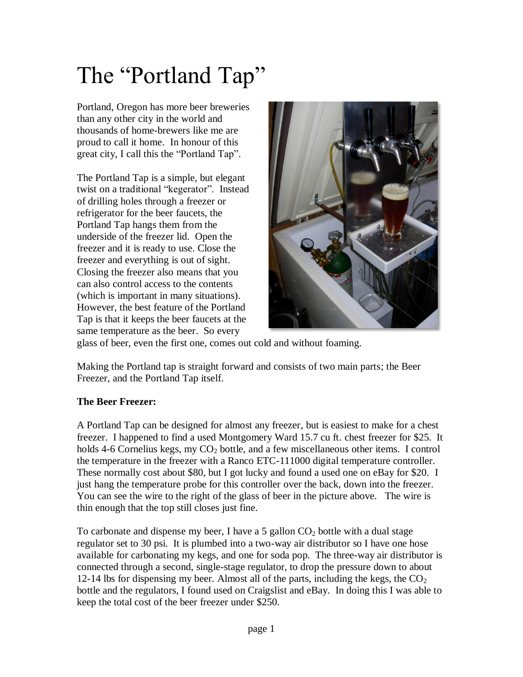## The "Portland Tap"

Portland, Oregon has more beer breweries than any other city in the world and thousands of home-brewers like me are proud to call it home. In honour of this great city, I call this the "Portland Tap".

The Portland Tap is a simple, but elegant twist on a traditional "kegerator". Instead of drilling holes through a freezer or refrigerator for the beer faucets, the Portland Tap hangs them from the underside of the freezer lid. Open the freezer and it is ready to use. Close the freezer and everything is out of sight. Closing the freezer also means that you can also control access to the contents (which is important in many situations). However, the best feature of the Portland Tap is that it keeps the beer faucets at the same temperature as the beer. So every



glass of beer, even the first one, comes out cold and without foaming.

Making the Portland tap is straight forward and consists of two main parts; the Beer Freezer, and the Portland Tap itself.

## **The Beer Freezer:**

A Portland Tap can be designed for almost any freezer, but is easiest to make for a chest freezer. I happened to find a used Montgomery Ward 15.7 cu ft. chest freezer for \$25. It holds 4-6 Cornelius kegs, my  $CO<sub>2</sub>$  bottle, and a few miscellaneous other items. I control the temperature in the freezer with a Ranco ETC-111000 digital temperature controller. These normally cost about \$80, but I got lucky and found a used one on eBay for \$20. I just hang the temperature probe for this controller over the back, down into the freezer. You can see the wire to the right of the glass of beer in the picture above. The wire is thin enough that the top still closes just fine.

To carbonate and dispense my beer, I have a 5 gallon  $CO<sub>2</sub>$  bottle with a dual stage regulator set to 30 psi. It is plumbed into a two-way air distributor so I have one hose available for carbonating my kegs, and one for soda pop. The three-way air distributor is connected through a second, single-stage regulator, to drop the pressure down to about 12-14 lbs for dispensing my beer. Almost all of the parts, including the kegs, the  $CO<sub>2</sub>$ bottle and the regulators, I found used on Craigslist and eBay. In doing this I was able to keep the total cost of the beer freezer under \$250.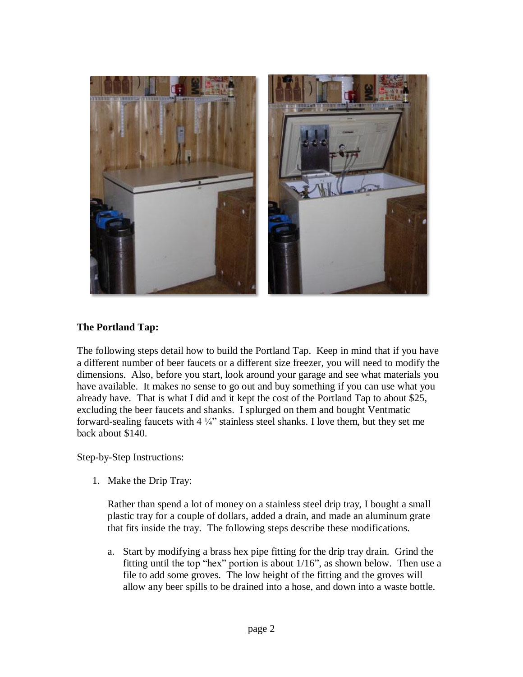

## **The Portland Tap:**

The following steps detail how to build the Portland Tap. Keep in mind that if you have a different number of beer faucets or a different size freezer, you will need to modify the dimensions. Also, before you start, look around your garage and see what materials you have available. It makes no sense to go out and buy something if you can use what you already have. That is what I did and it kept the cost of the Portland Tap to about \$25, excluding the beer faucets and shanks. I splurged on them and bought Ventmatic forward-sealing faucets with  $4\frac{1}{4}$ " stainless steel shanks. I love them, but they set me back about \$140.

Step-by-Step Instructions:

1. Make the Drip Tray:

Rather than spend a lot of money on a stainless steel drip tray, I bought a small plastic tray for a couple of dollars, added a drain, and made an aluminum grate that fits inside the tray. The following steps describe these modifications.

a. Start by modifying a brass hex pipe fitting for the drip tray drain. Grind the fitting until the top "hex" portion is about 1/16", as shown below. Then use a file to add some groves. The low height of the fitting and the groves will allow any beer spills to be drained into a hose, and down into a waste bottle.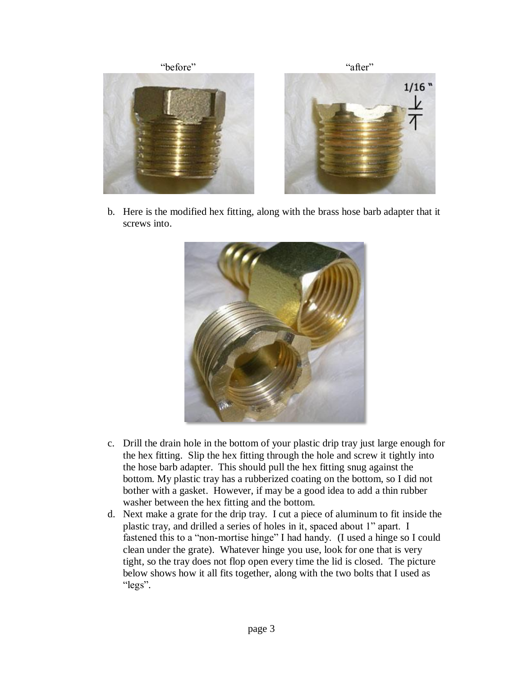

b. Here is the modified hex fitting, along with the brass hose barb adapter that it screws into.



- c. Drill the drain hole in the bottom of your plastic drip tray just large enough for the hex fitting. Slip the hex fitting through the hole and screw it tightly into the hose barb adapter. This should pull the hex fitting snug against the bottom. My plastic tray has a rubberized coating on the bottom, so I did not bother with a gasket. However, if may be a good idea to add a thin rubber washer between the hex fitting and the bottom.
- d. Next make a grate for the drip tray. I cut a piece of aluminum to fit inside the plastic tray, and drilled a series of holes in it, spaced about 1" apart. I fastened this to a "non-mortise hinge" I had handy. (I used a hinge so I could clean under the grate). Whatever hinge you use, look for one that is very tight, so the tray does not flop open every time the lid is closed. The picture below shows how it all fits together, along with the two bolts that I used as "legs".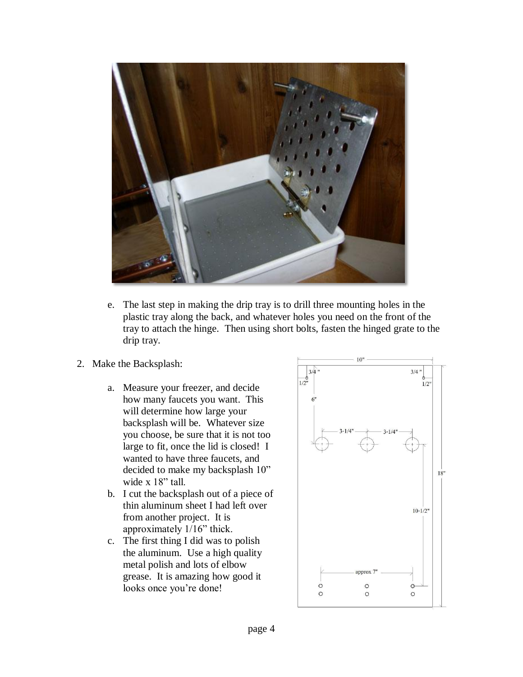

- e. The last step in making the drip tray is to drill three mounting holes in the plastic tray along the back, and whatever holes you need on the front of the tray to attach the hinge. Then using short bolts, fasten the hinged grate to the drip tray.
- 2. Make the Backsplash:
	- a. Measure your freezer, and decide how many faucets you want. This will determine how large your backsplash will be. Whatever size you choose, be sure that it is not too large to fit, once the lid is closed! I wanted to have three faucets, and decided to make my backsplash 10" wide x 18" tall.
	- b. I cut the backsplash out of a piece of thin aluminum sheet I had left over from another project. It is approximately 1/16" thick.
	- c. The first thing I did was to polish the aluminum. Use a high quality metal polish and lots of elbow grease. It is amazing how good it looks once you're done!

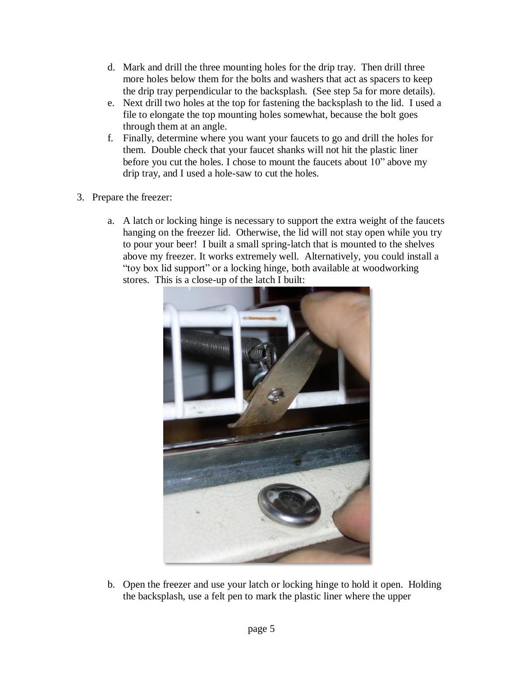- d. Mark and drill the three mounting holes for the drip tray. Then drill three more holes below them for the bolts and washers that act as spacers to keep the drip tray perpendicular to the backsplash. (See step 5a for more details).
- e. Next drill two holes at the top for fastening the backsplash to the lid. I used a file to elongate the top mounting holes somewhat, because the bolt goes through them at an angle.
- f. Finally, determine where you want your faucets to go and drill the holes for them. Double check that your faucet shanks will not hit the plastic liner before you cut the holes. I chose to mount the faucets about 10" above my drip tray, and I used a hole-saw to cut the holes.
- 3. Prepare the freezer:
	- a. A latch or locking hinge is necessary to support the extra weight of the faucets hanging on the freezer lid. Otherwise, the lid will not stay open while you try to pour your beer! I built a small spring-latch that is mounted to the shelves above my freezer. It works extremely well. Alternatively, you could install a "toy box lid support" or a locking hinge, both available at woodworking stores. This is a close-up of the latch I built:



b. Open the freezer and use your latch or locking hinge to hold it open. Holding the backsplash, use a felt pen to mark the plastic liner where the upper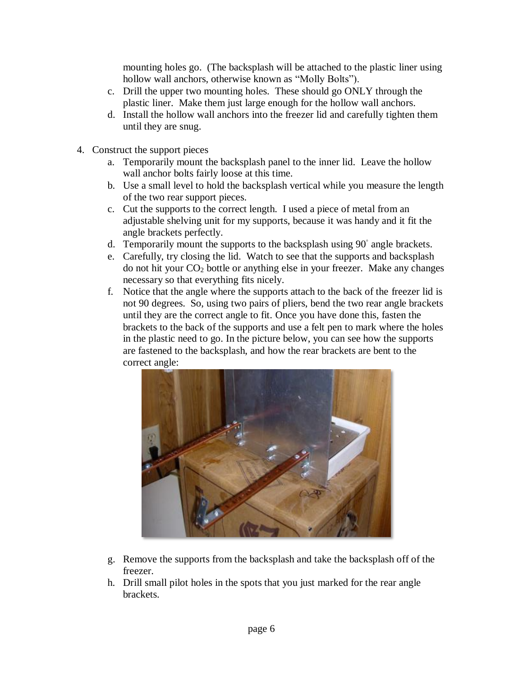mounting holes go. (The backsplash will be attached to the plastic liner using hollow wall anchors, otherwise known as "Molly Bolts").

- c. Drill the upper two mounting holes. These should go ONLY through the plastic liner. Make them just large enough for the hollow wall anchors.
- d. Install the hollow wall anchors into the freezer lid and carefully tighten them until they are snug.
- 4. Construct the support pieces
	- a. Temporarily mount the backsplash panel to the inner lid. Leave the hollow wall anchor bolts fairly loose at this time.
	- b. Use a small level to hold the backsplash vertical while you measure the length of the two rear support pieces.
	- c. Cut the supports to the correct length. I used a piece of metal from an adjustable shelving unit for my supports, because it was handy and it fit the angle brackets perfectly.
	- d. Temporarily mount the supports to the backsplash using 90◦ angle brackets.
	- e. Carefully, try closing the lid. Watch to see that the supports and backsplash do not hit your  $CO<sub>2</sub>$  bottle or anything else in your freezer. Make any changes necessary so that everything fits nicely.
	- f. Notice that the angle where the supports attach to the back of the freezer lid is not 90 degrees. So, using two pairs of pliers, bend the two rear angle brackets until they are the correct angle to fit. Once you have done this, fasten the brackets to the back of the supports and use a felt pen to mark where the holes in the plastic need to go. In the picture below, you can see how the supports are fastened to the backsplash, and how the rear brackets are bent to the correct angle:



- g. Remove the supports from the backsplash and take the backsplash off of the freezer.
- h. Drill small pilot holes in the spots that you just marked for the rear angle brackets.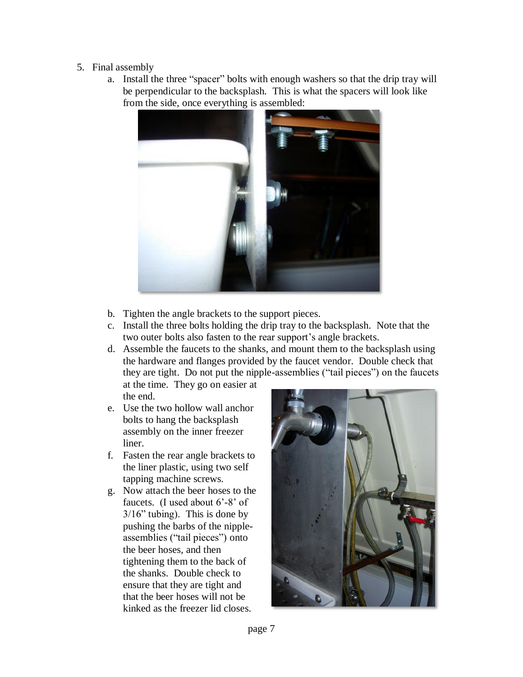## 5. Final assembly

a. Install the three "spacer" bolts with enough washers so that the drip tray will be perpendicular to the backsplash. This is what the spacers will look like from the side, once everything is assembled:



- b. Tighten the angle brackets to the support pieces.
- c. Install the three bolts holding the drip tray to the backsplash. Note that the two outer bolts also fasten to the rear support's angle brackets.
- d. Assemble the faucets to the shanks, and mount them to the backsplash using the hardware and flanges provided by the faucet vendor. Double check that they are tight. Do not put the nipple-assemblies ("tail pieces") on the faucets

at the time. They go on easier at the end.

- e. Use the two hollow wall anchor bolts to hang the backsplash assembly on the inner freezer liner.
- f. Fasten the rear angle brackets to the liner plastic, using two self tapping machine screws.
- g. Now attach the beer hoses to the faucets. (I used about 6'-8' of 3/16" tubing). This is done by pushing the barbs of the nippleassemblies ("tail pieces") onto the beer hoses, and then tightening them to the back of the shanks. Double check to ensure that they are tight and that the beer hoses will not be kinked as the freezer lid closes.